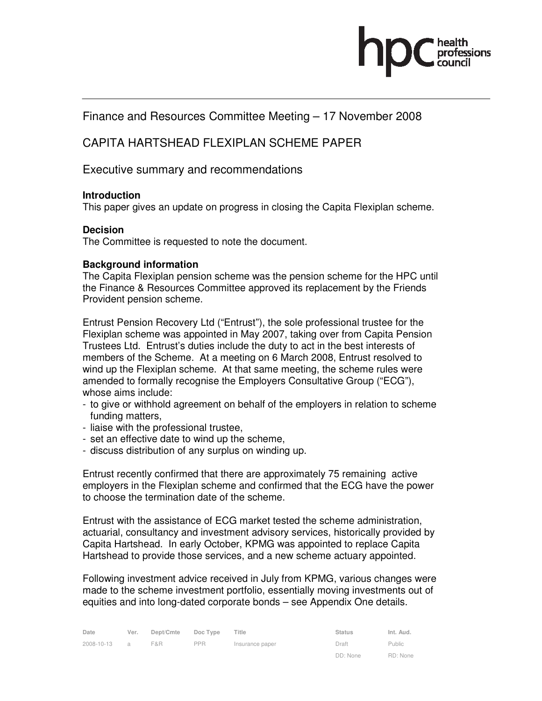# Finance and Resources Committee Meeting – 17 November 2008

# CAPITA HARTSHEAD FLEXIPLAN SCHEME PAPER

# Executive summary and recommendations

# **Introduction**

This paper gives an update on progress in closing the Capita Flexiplan scheme.

# **Decision**

The Committee is requested to note the document.

# **Background information**

The Capita Flexiplan pension scheme was the pension scheme for the HPC until the Finance & Resources Committee approved its replacement by the Friends Provident pension scheme.

Entrust Pension Recovery Ltd ("Entrust"), the sole professional trustee for the Flexiplan scheme was appointed in May 2007, taking over from Capita Pension Trustees Ltd. Entrust's duties include the duty to act in the best interests of members of the Scheme. At a meeting on 6 March 2008, Entrust resolved to wind up the Flexiplan scheme. At that same meeting, the scheme rules were amended to formally recognise the Employers Consultative Group ("ECG"), whose aims include:

- to give or withhold agreement on behalf of the employers in relation to scheme funding matters,
- liaise with the professional trustee,
- set an effective date to wind up the scheme,
- discuss distribution of any surplus on winding up.

Entrust recently confirmed that there are approximately 75 remaining active employers in the Flexiplan scheme and confirmed that the ECG have the power to choose the termination date of the scheme.

Entrust with the assistance of ECG market tested the scheme administration, actuarial, consultancy and investment advisory services, historically provided by Capita Hartshead. In early October, KPMG was appointed to replace Capita Hartshead to provide those services, and a new scheme actuary appointed.

Following investment advice received in July from KPMG, various changes were made to the scheme investment portfolio, essentially moving investments out of equities and into long-dated corporate bonds – see Appendix One details.

| Date       | Ver.           | Dept/Cmte | Doc Type   | Title           | <b>Status</b> | Int. Aud. |
|------------|----------------|-----------|------------|-----------------|---------------|-----------|
| 2008-10-13 | $\overline{a}$ | F&R       | <b>PPR</b> | Insurance paper | Draft         | Public    |
|            |                |           |            |                 | DD: None      | RD: None  |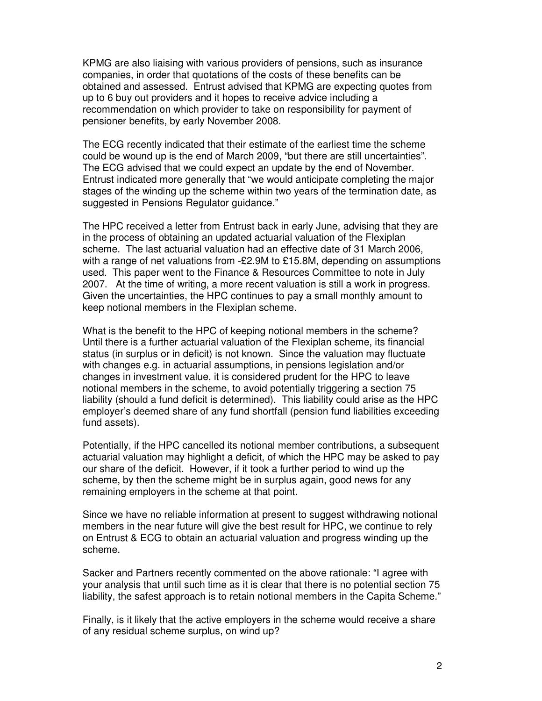KPMG are also liaising with various providers of pensions, such as insurance companies, in order that quotations of the costs of these benefits can be obtained and assessed. Entrust advised that KPMG are expecting quotes from up to 6 buy out providers and it hopes to receive advice including a recommendation on which provider to take on responsibility for payment of pensioner benefits, by early November 2008.

The ECG recently indicated that their estimate of the earliest time the scheme could be wound up is the end of March 2009, "but there are still uncertainties". The ECG advised that we could expect an update by the end of November. Entrust indicated more generally that "we would anticipate completing the major stages of the winding up the scheme within two years of the termination date, as suggested in Pensions Regulator guidance."

The HPC received a letter from Entrust back in early June, advising that they are in the process of obtaining an updated actuarial valuation of the Flexiplan scheme. The last actuarial valuation had an effective date of 31 March 2006, with a range of net valuations from -£2.9M to £15.8M, depending on assumptions used. This paper went to the Finance & Resources Committee to note in July 2007. At the time of writing, a more recent valuation is still a work in progress. Given the uncertainties, the HPC continues to pay a small monthly amount to keep notional members in the Flexiplan scheme.

What is the benefit to the HPC of keeping notional members in the scheme? Until there is a further actuarial valuation of the Flexiplan scheme, its financial status (in surplus or in deficit) is not known. Since the valuation may fluctuate with changes e.g. in actuarial assumptions, in pensions legislation and/or changes in investment value, it is considered prudent for the HPC to leave notional members in the scheme, to avoid potentially triggering a section 75 liability (should a fund deficit is determined). This liability could arise as the HPC employer's deemed share of any fund shortfall (pension fund liabilities exceeding fund assets).

Potentially, if the HPC cancelled its notional member contributions, a subsequent actuarial valuation may highlight a deficit, of which the HPC may be asked to pay our share of the deficit. However, if it took a further period to wind up the scheme, by then the scheme might be in surplus again, good news for any remaining employers in the scheme at that point.

Since we have no reliable information at present to suggest withdrawing notional members in the near future will give the best result for HPC, we continue to rely on Entrust & ECG to obtain an actuarial valuation and progress winding up the scheme.

Sacker and Partners recently commented on the above rationale: "I agree with your analysis that until such time as it is clear that there is no potential section 75 liability, the safest approach is to retain notional members in the Capita Scheme."

Finally, is it likely that the active employers in the scheme would receive a share of any residual scheme surplus, on wind up?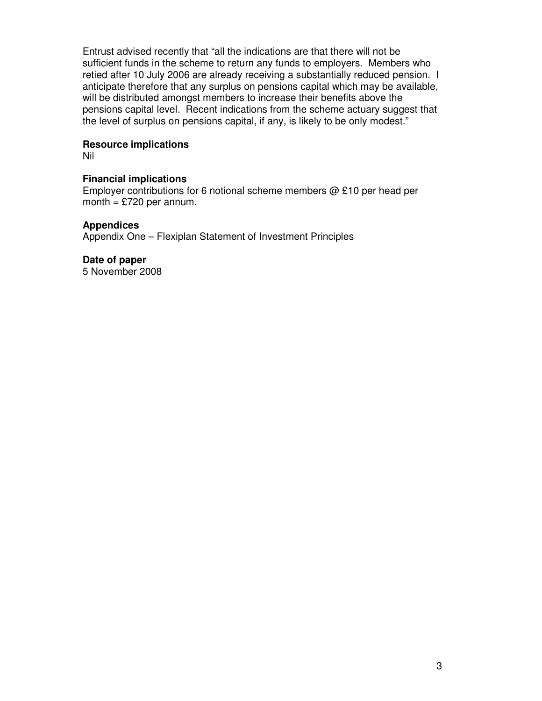Entrust advised recently that "all the indications are that there will not be sufficient funds in the scheme to return any funds to employers. Members who retied after 10 July 2006 are already receiving a substantially reduced pension. I anticipate therefore that any surplus on pensions capital which may be available, will be distributed amongst members to increase their benefits above the pensions capital level. Recent indications from the scheme actuary suggest that the level of surplus on pensions capital, if any, is likely to be only modest."

# **Resource implications**

Nil

# **Financial implications**

Employer contributions for 6 notional scheme members  $\omega$  £10 per head per month =  $£720$  per annum.

# **Appendices**

Appendix One – Flexiplan Statement of Investment Principles

**Date of paper**  5 November 2008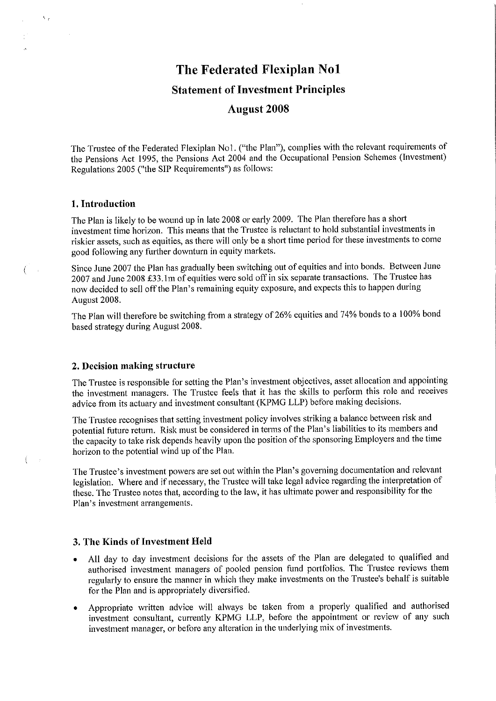# The Federated Flexiplan No1 **Statement of Investment Principles**

# **August 2008**

The Trustee of the Federated Flexiplan No1. ("the Plan"), complies with the relevant requirements of the Pensions Act 1995, the Pensions Act 2004 and the Occupational Pension Schemes (Investment) Regulations 2005 ("the SIP Requirements") as follows:

#### 1. Introduction

 $\mathcal{N}_{\mathcal{A}}$ 

 $\overline{(\ }$ 

 $\left($ in y  $\sim$   $\mu$ 

The Plan is likely to be wound up in late 2008 or early 2009. The Plan therefore has a short investment time horizon. This means that the Trustee is reluctant to hold substantial investments in riskier assets, such as equities, as there will only be a short time period for these investments to come good following any further downturn in equity markets.

Since June 2007 the Plan has gradually been switching out of equities and into bonds. Between June 2007 and June 2008 £33.1m of equities were sold off in six separate transactions. The Trustee has now decided to sell off the Plan's remaining equity exposure, and expects this to happen during August 2008.

The Plan will therefore be switching from a strategy of 26% equities and 74% bonds to a 100% bond based strategy during August 2008.

# 2. Decision making structure

The Trustee is responsible for setting the Plan's investment objectives, asset allocation and appointing the investment managers. The Trustee feels that it has the skills to perform this role and receives advice from its actuary and investment consultant (KPMG LLP) before making decisions.

The Trustee recognises that setting investment policy involves striking a balance between risk and potential future return. Risk must be considered in terms of the Plan's liabilities to its members and the capacity to take risk depends heavily upon the position of the sponsoring Employers and the time horizon to the potential wind up of the Plan.

The Trustee's investment powers are set out within the Plan's governing documentation and relevant legislation. Where and if necessary, the Trustee will take legal advice regarding the interpretation of these. The Trustee notes that, according to the law, it has ultimate power and responsibility for the Plan's investment arrangements.

## 3. The Kinds of Investment Held

- All day to day investment decisions for the assets of the Plan are delegated to qualified and  $\bullet$ authorised investment managers of pooled pension fund portfolios. The Trustee reviews them regularly to ensure the manner in which they make investments on the Trustee's behalf is suitable for the Plan and is appropriately diversified.
- Appropriate written advice will always be taken from a properly qualified and authorised investment consultant, currently KPMG LLP, before the appointment or review of any such investment manager, or before any alteration in the underlying mix of investments.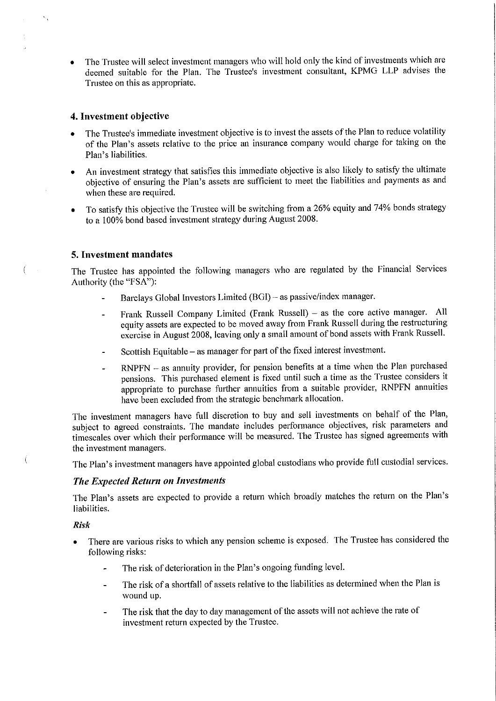The Trustee will select investment managers who will hold only the kind of investments which are deemed suitable for the Plan. The Trustee's investment consultant, KPMG LLP advises the Trustee on this as appropriate.

## 4. Investment objective

- The Trustee's immediate investment objective is to invest the assets of the Plan to reduce volatility of the Plan's assets relative to the price an insurance company would charge for taking on the Plan's liabilities.
- An investment strategy that satisfies this immediate objective is also likely to satisfy the ultimate  $\bullet$ objective of ensuring the Plan's assets are sufficient to meet the liabilities and payments as and when these are required.
- To satisfy this objective the Trustee will be switching from a 26% equity and 74% bonds strategy  $\bullet$ to a 100% bond based investment strategy during August 2008.

#### 5. Investment mandates

 $\overline{(}$  $\sim$ 

 $\left($ 

The Trustee has appointed the following managers who are regulated by the Financial Services Authority (the "FSA"):

- Barclays Global Investors Limited (BGI) as passive/index manager.
- Frank Russell Company Limited (Frank Russell) as the core active manager. All  $\mathbf{a}$ equity assets are expected to be moved away from Frank Russell during the restructuring exercise in August 2008, leaving only a small amount of bond assets with Frank Russell.
- Scottish Equitable as manager for part of the fixed interest investment.  $\overline{\phantom{a}}$
- RNPFN as annuity provider, for pension benefits at a time when the Plan purchased pensions. This purchased element is fixed until such a time as the Trustee considers it appropriate to purchase further annuities from a suitable provider, RNPFN annuities have been excluded from the strategic benchmark allocation.

The investment managers have full discretion to buy and sell investments on behalf of the Plan, subject to agreed constraints. The mandate includes performance objectives, risk parameters and timescales over which their performance will be measured. The Trustee has signed agreements with the investment managers.

The Plan's investment managers have appointed global custodians who provide full custodial services.

#### The Expected Return on Investments

The Plan's assets are expected to provide a return which broadly matches the return on the Plan's liabilities.

#### **Risk**

- There are various risks to which any pension scheme is exposed. The Trustee has considered the following risks:
	- The risk of deterioration in the Plan's ongoing funding level.
	- The risk of a shortfall of assets relative to the liabilities as determined when the Plan is wound up.
	- The risk that the day to day management of the assets will not achieve the rate of investment return expected by the Trustee.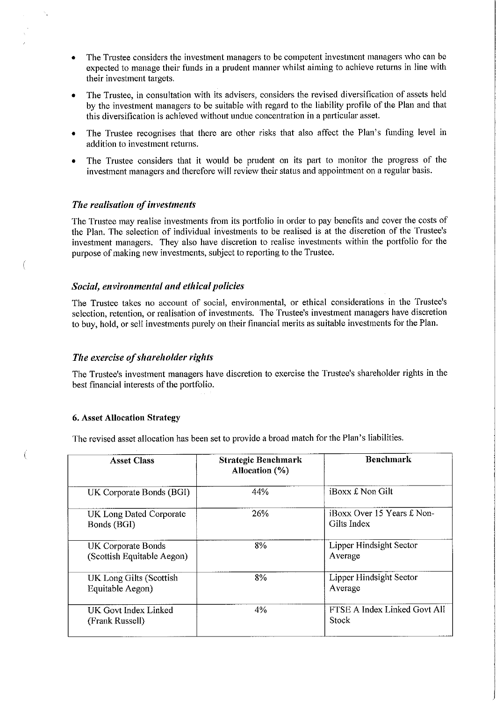- The Trustee considers the investment managers to be competent investment managers who can be  $\bullet$ expected to manage their funds in a prudent manner whilst aiming to achieve returns in line with their investment targets.
- The Trustee, in consultation with its advisers, considers the revised diversification of assets held  $\bullet$ by the investment managers to be suitable with regard to the liability profile of the Plan and that this diversification is achieved without undue concentration in a particular asset.
- The Trustee recognises that there are other risks that also affect the Plan's funding level in  $\bullet$ addition to investment returns.
- The Trustee considers that it would be prudent on its part to monitor the progress of the investment managers and therefore will review their status and appointment on a regular basis.

## The realisation of investments

€

 $\overline{(\ }$ 

The Trustee may realise investments from its portfolio in order to pay benefits and cover the costs of the Plan. The selection of individual investments to be realised is at the discretion of the Trustee's investment managers. They also have discretion to realise investments within the portfolio for the purpose of making new investments, subject to reporting to the Trustee.

# Social, environmental and ethical policies

The Trustee takes no account of social, environmental, or ethical considerations in the Trustee's selection, retention, or realisation of investments. The Trustee's investment managers have discretion to buy, hold, or sell investments purely on their financial merits as suitable investments for the Plan.

#### The exercise of shareholder rights

The Trustee's investment managers have discretion to exercise the Trustee's shareholder rights in the best financial interests of the portfolio.

#### **6. Asset Allocation Strategy**

The revised asset allocation has been set to provide a broad match for the Plan's liabilities.

| <b>Asset Class</b>                               | <b>Strategic Benchmark</b><br>Allocation (%) | <b>Benchmark</b>                                        |
|--------------------------------------------------|----------------------------------------------|---------------------------------------------------------|
| UK Corporate Bonds (BGI)                         | 44%                                          | iBoxx £ Non Gilt                                        |
| UK Long Dated Corporate<br>Bonds (BGI)           | 26%                                          | <i><b>iBoxx Over 15 Years £ Non-</b></i><br>Gilts Index |
| UK Corporate Bonds<br>(Scottish Equitable Aegon) | 8%                                           | Lipper Hindsight Sector<br>Average                      |
| UK Long Gilts (Scottish<br>Equitable Aegon)      | 8%                                           | Lipper Hindsight Sector<br>Average                      |
| UK Govt Index Linked<br>(Frank Russell)          | 4%                                           | FTSE A Index Linked Govt All<br>Stock                   |